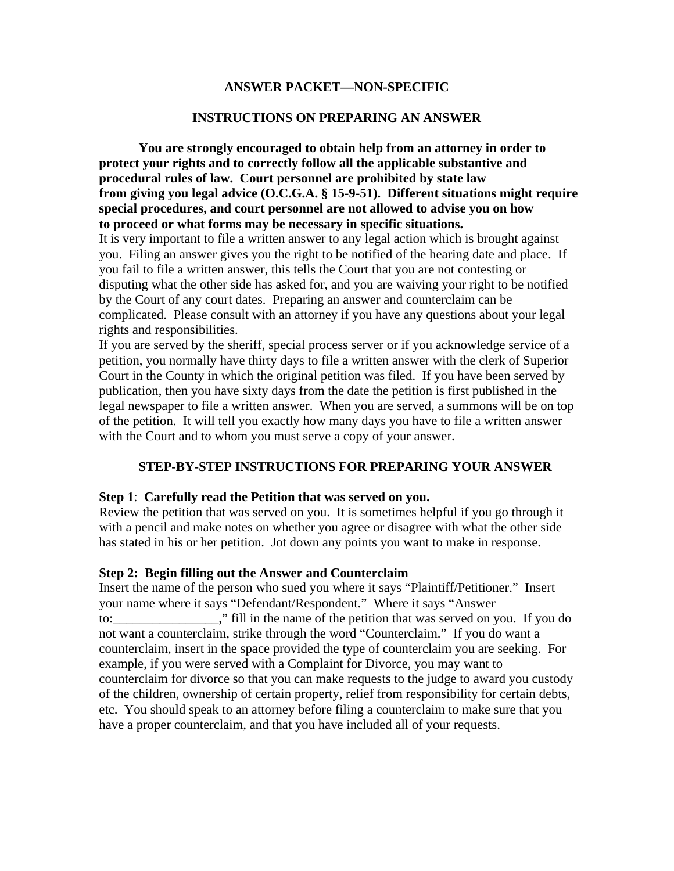## **ANSWER PACKET—NON-SPECIFIC**

### **INSTRUCTIONS ON PREPARING AN ANSWER**

**You are strongly encouraged to obtain help from an attorney in order to protect your rights and to correctly follow all the applicable substantive and procedural rules of law. Court personnel are prohibited by state law from giving you legal advice (O.C.G.A. § 15-9-51). Different situations might require special procedures, and court personnel are not allowed to advise you on how to proceed or what forms may be necessary in specific situations.** 

It is very important to file a written answer to any legal action which is brought against you. Filing an answer gives you the right to be notified of the hearing date and place. If you fail to file a written answer, this tells the Court that you are not contesting or disputing what the other side has asked for, and you are waiving your right to be notified by the Court of any court dates. Preparing an answer and counterclaim can be complicated. Please consult with an attorney if you have any questions about your legal rights and responsibilities.

If you are served by the sheriff, special process server or if you acknowledge service of a petition, you normally have thirty days to file a written answer with the clerk of Superior Court in the County in which the original petition was filed. If you have been served by publication, then you have sixty days from the date the petition is first published in the legal newspaper to file a written answer. When you are served, a summons will be on top of the petition. It will tell you exactly how many days you have to file a written answer with the Court and to whom you must serve a copy of your answer.

## **STEP-BY-STEP INSTRUCTIONS FOR PREPARING YOUR ANSWER**

### **Step 1**: **Carefully read the Petition that was served on you.**

Review the petition that was served on you. It is sometimes helpful if you go through it with a pencil and make notes on whether you agree or disagree with what the other side has stated in his or her petition. Jot down any points you want to make in response.

### **Step 2: Begin filling out the Answer and Counterclaim**

Insert the name of the person who sued you where it says "Plaintiff/Petitioner." Insert your name where it says "Defendant/Respondent." Where it says "Answer to:\_\_\_\_\_\_\_\_\_\_\_\_\_\_\_\_," fill in the name of the petition that was served on you. If you do not want a counterclaim, strike through the word "Counterclaim." If you do want a counterclaim, insert in the space provided the type of counterclaim you are seeking. For example, if you were served with a Complaint for Divorce, you may want to counterclaim for divorce so that you can make requests to the judge to award you custody of the children, ownership of certain property, relief from responsibility for certain debts, etc. You should speak to an attorney before filing a counterclaim to make sure that you have a proper counterclaim, and that you have included all of your requests.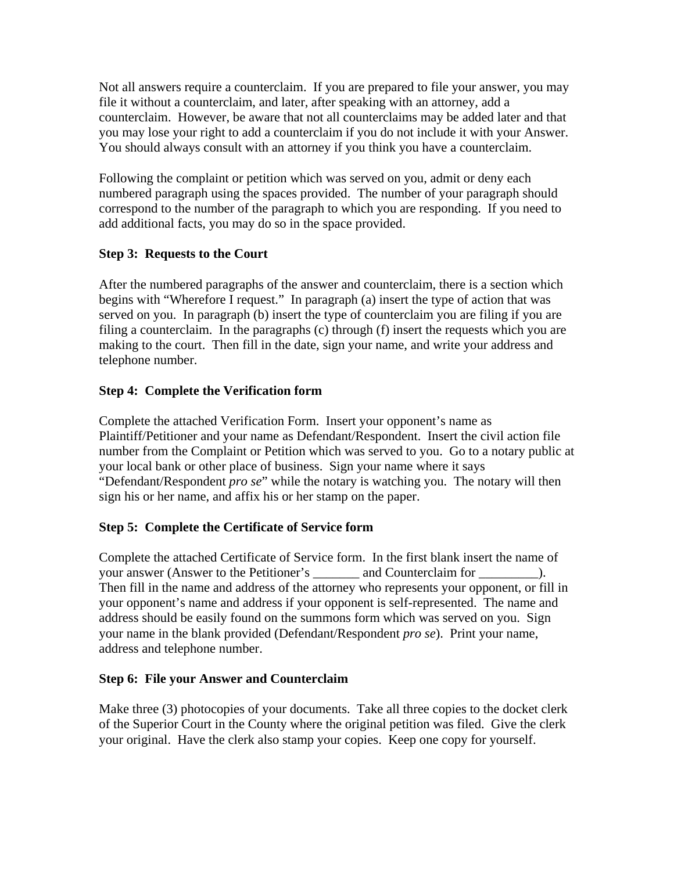Not all answers require a counterclaim. If you are prepared to file your answer, you may file it without a counterclaim, and later, after speaking with an attorney, add a counterclaim. However, be aware that not all counterclaims may be added later and that you may lose your right to add a counterclaim if you do not include it with your Answer. You should always consult with an attorney if you think you have a counterclaim.

Following the complaint or petition which was served on you, admit or deny each numbered paragraph using the spaces provided. The number of your paragraph should correspond to the number of the paragraph to which you are responding. If you need to add additional facts, you may do so in the space provided.

# **Step 3: Requests to the Court**

After the numbered paragraphs of the answer and counterclaim, there is a section which begins with "Wherefore I request." In paragraph (a) insert the type of action that was served on you. In paragraph (b) insert the type of counterclaim you are filing if you are filing a counterclaim. In the paragraphs (c) through (f) insert the requests which you are making to the court. Then fill in the date, sign your name, and write your address and telephone number.

# **Step 4: Complete the Verification form**

Complete the attached Verification Form. Insert your opponent's name as Plaintiff/Petitioner and your name as Defendant/Respondent. Insert the civil action file number from the Complaint or Petition which was served to you. Go to a notary public at your local bank or other place of business. Sign your name where it says "Defendant/Respondent *pro se*" while the notary is watching you. The notary will then sign his or her name, and affix his or her stamp on the paper.

# **Step 5: Complete the Certificate of Service form**

Complete the attached Certificate of Service form. In the first blank insert the name of your answer (Answer to the Petitioner's \_\_\_\_\_\_\_ and Counterclaim for \_\_\_\_\_\_\_\_\_). Then fill in the name and address of the attorney who represents your opponent, or fill in your opponent's name and address if your opponent is self-represented. The name and address should be easily found on the summons form which was served on you. Sign your name in the blank provided (Defendant/Respondent *pro se*). Print your name, address and telephone number.

# **Step 6: File your Answer and Counterclaim**

Make three (3) photocopies of your documents. Take all three copies to the docket clerk of the Superior Court in the County where the original petition was filed. Give the clerk your original. Have the clerk also stamp your copies. Keep one copy for yourself.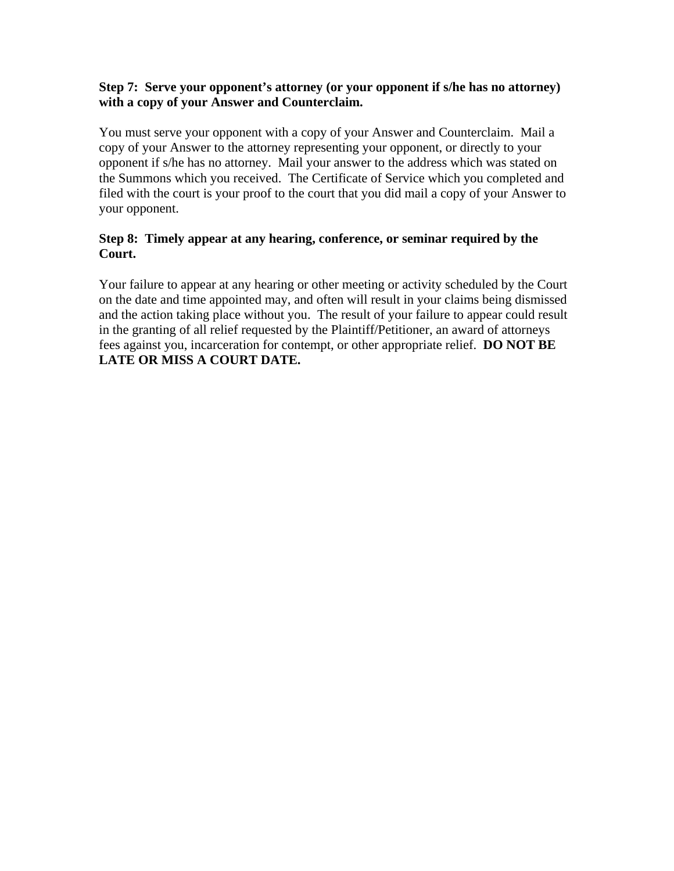## **Step 7: Serve your opponent's attorney (or your opponent if s/he has no attorney) with a copy of your Answer and Counterclaim.**

You must serve your opponent with a copy of your Answer and Counterclaim. Mail a copy of your Answer to the attorney representing your opponent, or directly to your opponent if s/he has no attorney. Mail your answer to the address which was stated on the Summons which you received. The Certificate of Service which you completed and filed with the court is your proof to the court that you did mail a copy of your Answer to your opponent.

# **Step 8: Timely appear at any hearing, conference, or seminar required by the Court.**

Your failure to appear at any hearing or other meeting or activity scheduled by the Court on the date and time appointed may, and often will result in your claims being dismissed and the action taking place without you. The result of your failure to appear could result in the granting of all relief requested by the Plaintiff/Petitioner, an award of attorneys fees against you, incarceration for contempt, or other appropriate relief. **DO NOT BE LATE OR MISS A COURT DATE.**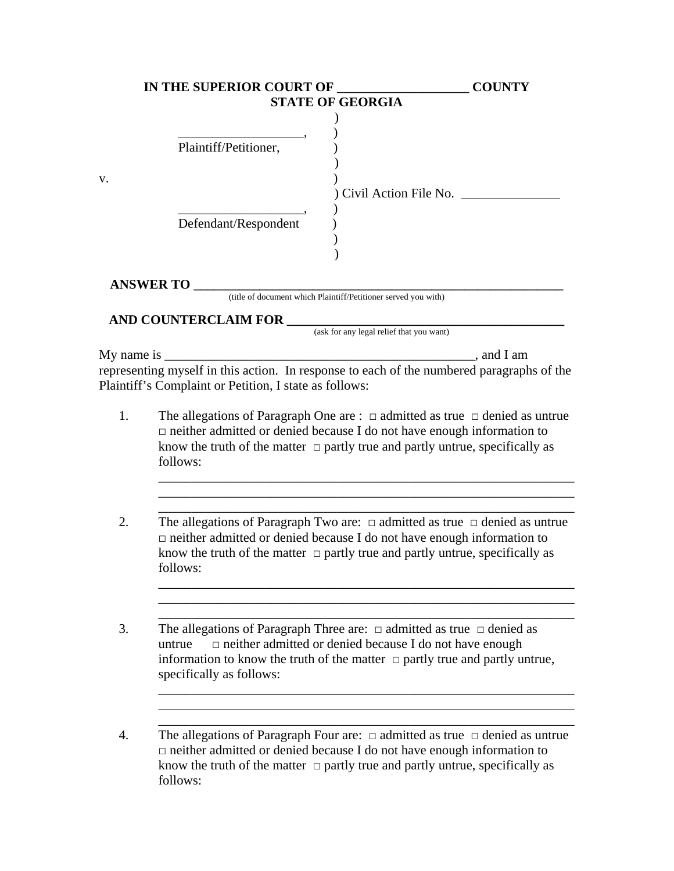|                         | IN THE SUPERIOR COURT OF                                                                                                                                                                                                                                                  | <b>COUNTY</b>         |  |  |
|-------------------------|---------------------------------------------------------------------------------------------------------------------------------------------------------------------------------------------------------------------------------------------------------------------------|-----------------------|--|--|
| <b>STATE OF GEORGIA</b> |                                                                                                                                                                                                                                                                           |                       |  |  |
| V.                      | Plaintiff/Petitioner,<br>Defendant/Respondent                                                                                                                                                                                                                             | Civil Action File No. |  |  |
|                         |                                                                                                                                                                                                                                                                           |                       |  |  |
|                         | <b>ANSWER TO</b><br>(title of document which Plaintiff/Petitioner served you with)                                                                                                                                                                                        |                       |  |  |
|                         | AND COUNTERCLAIM FOR <u>Cask for any legal relief that you want</u>                                                                                                                                                                                                       |                       |  |  |
|                         | representing myself in this action. In response to each of the numbered paragraphs of the<br>Plaintiff's Complaint or Petition, I state as follows:                                                                                                                       |                       |  |  |
| 1.                      | The allegations of Paragraph One are : $\Box$ admitted as true $\Box$ denied as untrue<br>$\Box$ neither admitted or denied because I do not have enough information to<br>know the truth of the matter $\Box$ partly true and partly untrue, specifically as<br>follows: |                       |  |  |
| 2.                      | The allegations of Paragraph Two are: $\Box$ admitted as true $\Box$ denied as untrue<br>$\Box$ neither admitted or denied because I do not have enough information to<br>know the truth of the matter $\Box$ partly true and partly untrue, specifically as<br>follows:  |                       |  |  |
| 3.                      | The allegations of Paragraph Three are: $\Box$ admitted as true $\Box$ denied as<br>□ neither admitted or denied because I do not have enough<br>untrue<br>information to know the truth of the matter $\Box$ partly true and partly untrue,<br>specifically as follows:  |                       |  |  |

4. The allegations of Paragraph Four are: □ admitted as true □ denied as untrue □ neither admitted or denied because I do not have enough information to know the truth of the matter  $\Box$  partly true and partly untrue, specifically as follows:

\_\_\_\_\_\_\_\_\_\_\_\_\_\_\_\_\_\_\_\_\_\_\_\_\_\_\_\_\_\_\_\_\_\_\_\_\_\_\_\_\_\_\_\_\_\_\_\_\_\_\_\_\_\_\_\_\_\_\_\_\_\_\_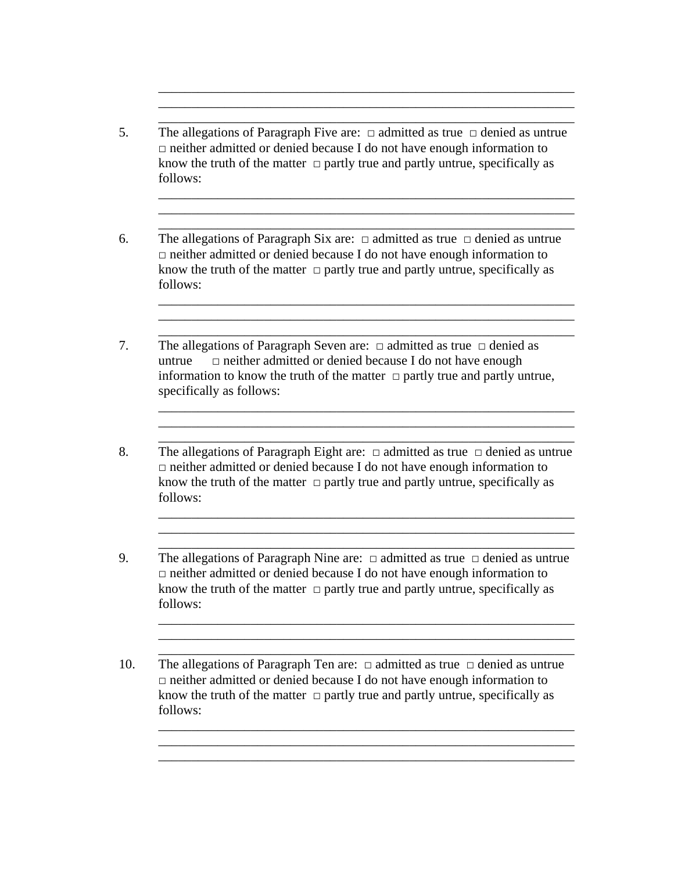5. The allegations of Paragraph Five are:  $\Box$  admitted as true  $\Box$  denied as untrue  $\Box$  neither admitted or denied because I do not have enough information to know the truth of the matter  $\Box$  partly true and partly untrue, specifically as follows:

\_\_\_\_\_\_\_\_\_\_\_\_\_\_\_\_\_\_\_\_\_\_\_\_\_\_\_\_\_\_\_\_\_\_\_\_\_\_\_\_\_\_\_\_\_\_\_\_\_\_\_\_\_\_\_\_\_\_\_\_\_\_\_ \_\_\_\_\_\_\_\_\_\_\_\_\_\_\_\_\_\_\_\_\_\_\_\_\_\_\_\_\_\_\_\_\_\_\_\_\_\_\_\_\_\_\_\_\_\_\_\_\_\_\_\_\_\_\_\_\_\_\_\_\_\_\_ \_\_\_\_\_\_\_\_\_\_\_\_\_\_\_\_\_\_\_\_\_\_\_\_\_\_\_\_\_\_\_\_\_\_\_\_\_\_\_\_\_\_\_\_\_\_\_\_\_\_\_\_\_\_\_\_\_\_\_\_\_\_\_

\_\_\_\_\_\_\_\_\_\_\_\_\_\_\_\_\_\_\_\_\_\_\_\_\_\_\_\_\_\_\_\_\_\_\_\_\_\_\_\_\_\_\_\_\_\_\_\_\_\_\_\_\_\_\_\_\_\_\_\_\_\_\_ \_\_\_\_\_\_\_\_\_\_\_\_\_\_\_\_\_\_\_\_\_\_\_\_\_\_\_\_\_\_\_\_\_\_\_\_\_\_\_\_\_\_\_\_\_\_\_\_\_\_\_\_\_\_\_\_\_\_\_\_\_\_\_ \_\_\_\_\_\_\_\_\_\_\_\_\_\_\_\_\_\_\_\_\_\_\_\_\_\_\_\_\_\_\_\_\_\_\_\_\_\_\_\_\_\_\_\_\_\_\_\_\_\_\_\_\_\_\_\_\_\_\_\_\_\_\_

\_\_\_\_\_\_\_\_\_\_\_\_\_\_\_\_\_\_\_\_\_\_\_\_\_\_\_\_\_\_\_\_\_\_\_\_\_\_\_\_\_\_\_\_\_\_\_\_\_\_\_\_\_\_\_\_\_\_\_\_\_\_\_ \_\_\_\_\_\_\_\_\_\_\_\_\_\_\_\_\_\_\_\_\_\_\_\_\_\_\_\_\_\_\_\_\_\_\_\_\_\_\_\_\_\_\_\_\_\_\_\_\_\_\_\_\_\_\_\_\_\_\_\_\_\_\_ \_\_\_\_\_\_\_\_\_\_\_\_\_\_\_\_\_\_\_\_\_\_\_\_\_\_\_\_\_\_\_\_\_\_\_\_\_\_\_\_\_\_\_\_\_\_\_\_\_\_\_\_\_\_\_\_\_\_\_\_\_\_\_

\_\_\_\_\_\_\_\_\_\_\_\_\_\_\_\_\_\_\_\_\_\_\_\_\_\_\_\_\_\_\_\_\_\_\_\_\_\_\_\_\_\_\_\_\_\_\_\_\_\_\_\_\_\_\_\_\_\_\_\_\_\_\_ \_\_\_\_\_\_\_\_\_\_\_\_\_\_\_\_\_\_\_\_\_\_\_\_\_\_\_\_\_\_\_\_\_\_\_\_\_\_\_\_\_\_\_\_\_\_\_\_\_\_\_\_\_\_\_\_\_\_\_\_\_\_\_ \_\_\_\_\_\_\_\_\_\_\_\_\_\_\_\_\_\_\_\_\_\_\_\_\_\_\_\_\_\_\_\_\_\_\_\_\_\_\_\_\_\_\_\_\_\_\_\_\_\_\_\_\_\_\_\_\_\_\_\_\_\_\_

\_\_\_\_\_\_\_\_\_\_\_\_\_\_\_\_\_\_\_\_\_\_\_\_\_\_\_\_\_\_\_\_\_\_\_\_\_\_\_\_\_\_\_\_\_\_\_\_\_\_\_\_\_\_\_\_\_\_\_\_\_\_\_

\_\_\_\_\_\_\_\_\_\_\_\_\_\_\_\_\_\_\_\_\_\_\_\_\_\_\_\_\_\_\_\_\_\_\_\_\_\_\_\_\_\_\_\_\_\_\_\_\_\_\_\_\_\_\_\_\_\_\_\_\_\_\_

\_\_\_\_\_\_\_\_\_\_\_\_\_\_\_\_\_\_\_\_\_\_\_\_\_\_\_\_\_\_\_\_\_\_\_\_\_\_\_\_\_\_\_\_\_\_\_\_\_\_\_\_\_\_\_\_\_\_\_\_\_\_\_ \_\_\_\_\_\_\_\_\_\_\_\_\_\_\_\_\_\_\_\_\_\_\_\_\_\_\_\_\_\_\_\_\_\_\_\_\_\_\_\_\_\_\_\_\_\_\_\_\_\_\_\_\_\_\_\_\_\_\_\_\_\_\_ \_\_\_\_\_\_\_\_\_\_\_\_\_\_\_\_\_\_\_\_\_\_\_\_\_\_\_\_\_\_\_\_\_\_\_\_\_\_\_\_\_\_\_\_\_\_\_\_\_\_\_\_\_\_\_\_\_\_\_\_\_\_\_

\_\_\_\_\_\_\_\_\_\_\_\_\_\_\_\_\_\_\_\_\_\_\_\_\_\_\_\_\_\_\_\_\_\_\_\_\_\_\_\_\_\_\_\_\_\_\_\_\_\_\_\_\_\_\_\_\_\_\_\_\_\_\_ \_\_\_\_\_\_\_\_\_\_\_\_\_\_\_\_\_\_\_\_\_\_\_\_\_\_\_\_\_\_\_\_\_\_\_\_\_\_\_\_\_\_\_\_\_\_\_\_\_\_\_\_\_\_\_\_\_\_\_\_\_\_\_ \_\_\_\_\_\_\_\_\_\_\_\_\_\_\_\_\_\_\_\_\_\_\_\_\_\_\_\_\_\_\_\_\_\_\_\_\_\_\_\_\_\_\_\_\_\_\_\_\_\_\_\_\_\_\_\_\_\_\_\_\_\_\_

- 6. The allegations of Paragraph Six are:  $\Box$  admitted as true  $\Box$  denied as untrue  $\Box$  neither admitted or denied because I do not have enough information to know the truth of the matter  $\Box$  partly true and partly untrue, specifically as follows:
- 7. The allegations of Paragraph Seven are: □ admitted as true □ denied as untrue  $\Box$  neither admitted or denied because I do not have enough information to know the truth of the matter  $\Box$  partly true and partly untrue, specifically as follows:
- 8. The allegations of Paragraph Eight are:  $\Box$  admitted as true  $\Box$  denied as untrue  $\Box$  neither admitted or denied because I do not have enough information to know the truth of the matter  $\Box$  partly true and partly untrue, specifically as follows:
- 9. The allegations of Paragraph Nine are: □ admitted as true □ denied as untrue  $\Box$  neither admitted or denied because I do not have enough information to know the truth of the matter  $\Box$  partly true and partly untrue, specifically as follows:

10. The allegations of Paragraph Ten are: □ admitted as true □ denied as untrue  $\Box$  neither admitted or denied because I do not have enough information to know the truth of the matter  $\Box$  partly true and partly untrue, specifically as follows: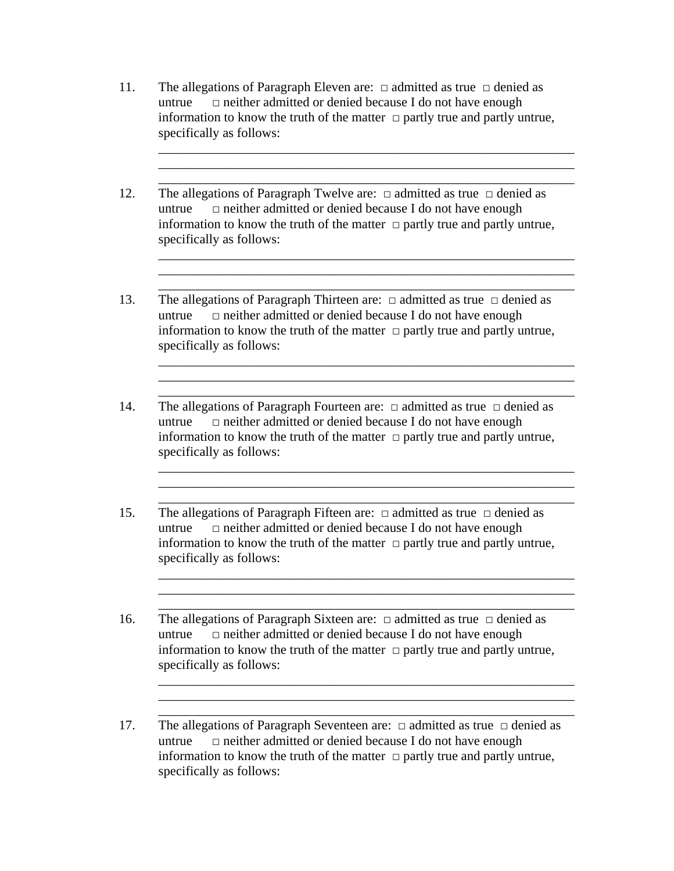11. The allegations of Paragraph Eleven are:  $\Box$  admitted as true  $\Box$  denied as untrue  $\Box$  neither admitted or denied because I do not have enough information to know the truth of the matter  $\Box$  partly true and partly untrue, specifically as follows:

\_\_\_\_\_\_\_\_\_\_\_\_\_\_\_\_\_\_\_\_\_\_\_\_\_\_\_\_\_\_\_\_\_\_\_\_\_\_\_\_\_\_\_\_\_\_\_\_\_\_\_\_\_\_\_\_\_\_\_\_\_\_\_ \_\_\_\_\_\_\_\_\_\_\_\_\_\_\_\_\_\_\_\_\_\_\_\_\_\_\_\_\_\_\_\_\_\_\_\_\_\_\_\_\_\_\_\_\_\_\_\_\_\_\_\_\_\_\_\_\_\_\_\_\_\_\_ \_\_\_\_\_\_\_\_\_\_\_\_\_\_\_\_\_\_\_\_\_\_\_\_\_\_\_\_\_\_\_\_\_\_\_\_\_\_\_\_\_\_\_\_\_\_\_\_\_\_\_\_\_\_\_\_\_\_\_\_\_\_\_

\_\_\_\_\_\_\_\_\_\_\_\_\_\_\_\_\_\_\_\_\_\_\_\_\_\_\_\_\_\_\_\_\_\_\_\_\_\_\_\_\_\_\_\_\_\_\_\_\_\_\_\_\_\_\_\_\_\_\_\_\_\_\_ \_\_\_\_\_\_\_\_\_\_\_\_\_\_\_\_\_\_\_\_\_\_\_\_\_\_\_\_\_\_\_\_\_\_\_\_\_\_\_\_\_\_\_\_\_\_\_\_\_\_\_\_\_\_\_\_\_\_\_\_\_\_\_ \_\_\_\_\_\_\_\_\_\_\_\_\_\_\_\_\_\_\_\_\_\_\_\_\_\_\_\_\_\_\_\_\_\_\_\_\_\_\_\_\_\_\_\_\_\_\_\_\_\_\_\_\_\_\_\_\_\_\_\_\_\_\_

\_\_\_\_\_\_\_\_\_\_\_\_\_\_\_\_\_\_\_\_\_\_\_\_\_\_\_\_\_\_\_\_\_\_\_\_\_\_\_\_\_\_\_\_\_\_\_\_\_\_\_\_\_\_\_\_\_\_\_\_\_\_\_ \_\_\_\_\_\_\_\_\_\_\_\_\_\_\_\_\_\_\_\_\_\_\_\_\_\_\_\_\_\_\_\_\_\_\_\_\_\_\_\_\_\_\_\_\_\_\_\_\_\_\_\_\_\_\_\_\_\_\_\_\_\_\_ \_\_\_\_\_\_\_\_\_\_\_\_\_\_\_\_\_\_\_\_\_\_\_\_\_\_\_\_\_\_\_\_\_\_\_\_\_\_\_\_\_\_\_\_\_\_\_\_\_\_\_\_\_\_\_\_\_\_\_\_\_\_\_

\_\_\_\_\_\_\_\_\_\_\_\_\_\_\_\_\_\_\_\_\_\_\_\_\_\_\_\_\_\_\_\_\_\_\_\_\_\_\_\_\_\_\_\_\_\_\_\_\_\_\_\_\_\_\_\_\_\_\_\_\_\_\_ \_\_\_\_\_\_\_\_\_\_\_\_\_\_\_\_\_\_\_\_\_\_\_\_\_\_\_\_\_\_\_\_\_\_\_\_\_\_\_\_\_\_\_\_\_\_\_\_\_\_\_\_\_\_\_\_\_\_\_\_\_\_\_ \_\_\_\_\_\_\_\_\_\_\_\_\_\_\_\_\_\_\_\_\_\_\_\_\_\_\_\_\_\_\_\_\_\_\_\_\_\_\_\_\_\_\_\_\_\_\_\_\_\_\_\_\_\_\_\_\_\_\_\_\_\_\_

\_\_\_\_\_\_\_\_\_\_\_\_\_\_\_\_\_\_\_\_\_\_\_\_\_\_\_\_\_\_\_\_\_\_\_\_\_\_\_\_\_\_\_\_\_\_\_\_\_\_\_\_\_\_\_\_\_\_\_\_\_\_\_ \_\_\_\_\_\_\_\_\_\_\_\_\_\_\_\_\_\_\_\_\_\_\_\_\_\_\_\_\_\_\_\_\_\_\_\_\_\_\_\_\_\_\_\_\_\_\_\_\_\_\_\_\_\_\_\_\_\_\_\_\_\_\_ \_\_\_\_\_\_\_\_\_\_\_\_\_\_\_\_\_\_\_\_\_\_\_\_\_\_\_\_\_\_\_\_\_\_\_\_\_\_\_\_\_\_\_\_\_\_\_\_\_\_\_\_\_\_\_\_\_\_\_\_\_\_\_

\_\_\_\_\_\_\_\_\_\_\_\_\_\_\_\_\_\_\_\_\_\_\_\_\_\_\_\_\_\_\_\_\_\_\_\_\_\_\_\_\_\_\_\_\_\_\_\_\_\_\_\_\_\_\_\_\_\_\_\_\_\_\_ \_\_\_\_\_\_\_\_\_\_\_\_\_\_\_\_\_\_\_\_\_\_\_\_\_\_\_\_\_\_\_\_\_\_\_\_\_\_\_\_\_\_\_\_\_\_\_\_\_\_\_\_\_\_\_\_\_\_\_\_\_\_\_ \_\_\_\_\_\_\_\_\_\_\_\_\_\_\_\_\_\_\_\_\_\_\_\_\_\_\_\_\_\_\_\_\_\_\_\_\_\_\_\_\_\_\_\_\_\_\_\_\_\_\_\_\_\_\_\_\_\_\_\_\_\_\_

- 12. The allegations of Paragraph Twelve are:  $\Box$  admitted as true  $\Box$  denied as untrue  $\Box$  neither admitted or denied because I do not have enough information to know the truth of the matter  $\Box$  partly true and partly untrue, specifically as follows:
- 13. The allegations of Paragraph Thirteen are:  $\Box$  admitted as true  $\Box$  denied as untrue  $\Box$  neither admitted or denied because I do not have enough information to know the truth of the matter  $\Box$  partly true and partly untrue, specifically as follows:
- 14. The allegations of Paragraph Fourteen are:  $\Box$  admitted as true  $\Box$  denied as untrue  $\Box$  neither admitted or denied because I do not have enough information to know the truth of the matter  $\Box$  partly true and partly untrue, specifically as follows:
- 15. The allegations of Paragraph Fifteen are: □ admitted as true □ denied as untrue  $\Box$  neither admitted or denied because I do not have enough information to know the truth of the matter  $\Box$  partly true and partly untrue, specifically as follows:

16. The allegations of Paragraph Sixteen are:  $\Box$  admitted as true  $\Box$  denied as untrue  $\Box$  neither admitted or denied because I do not have enough information to know the truth of the matter  $\Box$  partly true and partly untrue, specifically as follows:

17. The allegations of Paragraph Seventeen are:  $\Box$  admitted as true  $\Box$  denied as untrue  $\Box$  neither admitted or denied because I do not have enough information to know the truth of the matter  $\Box$  partly true and partly untrue, specifically as follows: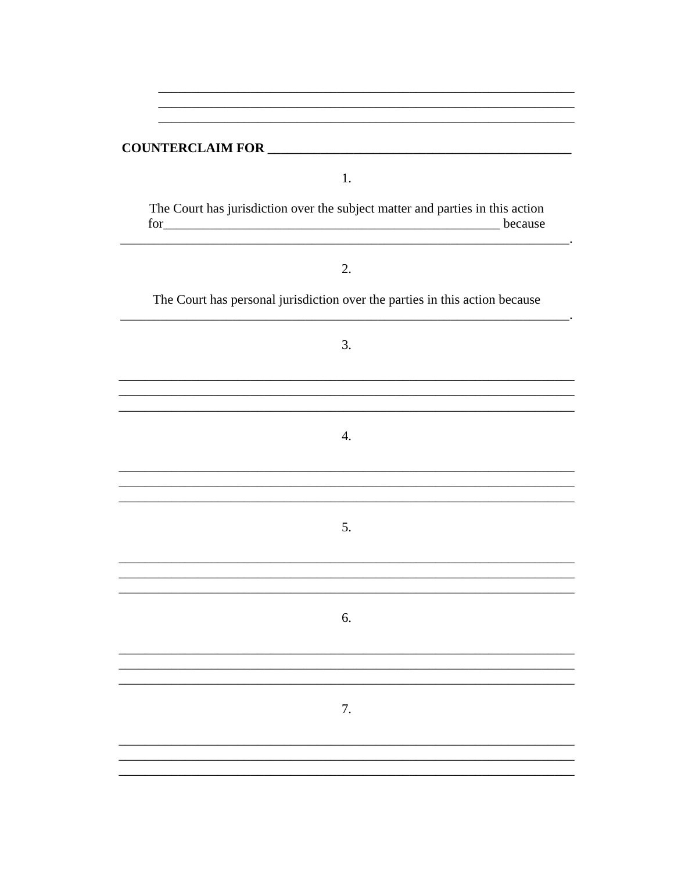## 

1.

The Court has jurisdiction over the subject matter and parties in this action 

2.

The Court has personal jurisdiction over the parties in this action because

3.

 $\overline{4}$ .

5.

6.

<u> 1989 - Johann Stoff, amerikansk politiker (d. 1989)</u>

7.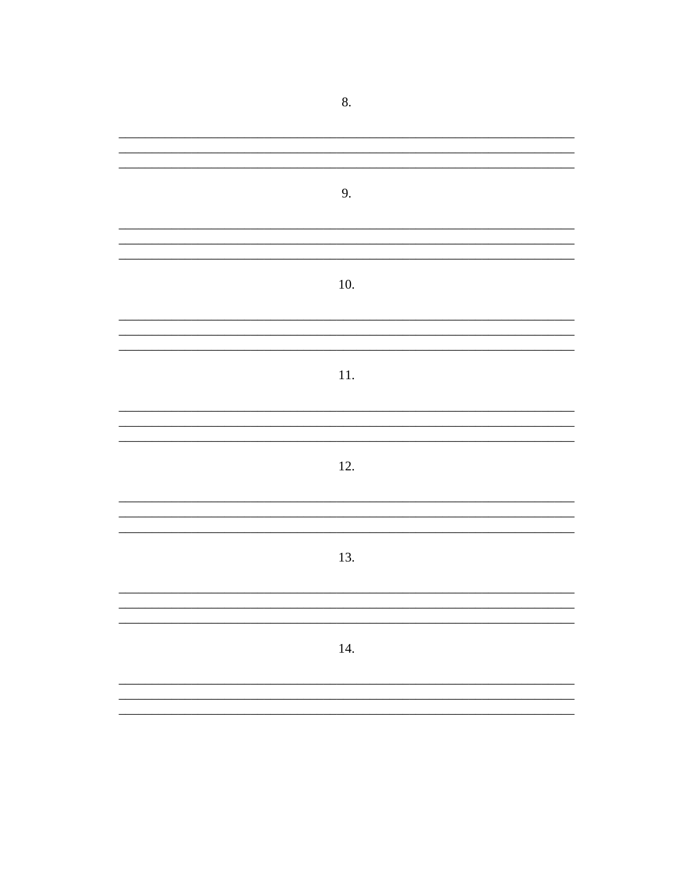| 9.       |
|----------|
|          |
|          |
|          |
|          |
| $10.$    |
|          |
|          |
|          |
| $11. \,$ |
|          |
|          |
|          |
|          |
| 12.      |
|          |
|          |
|          |
| 13.      |
|          |
|          |
|          |
|          |
| 14.      |
|          |
|          |

8.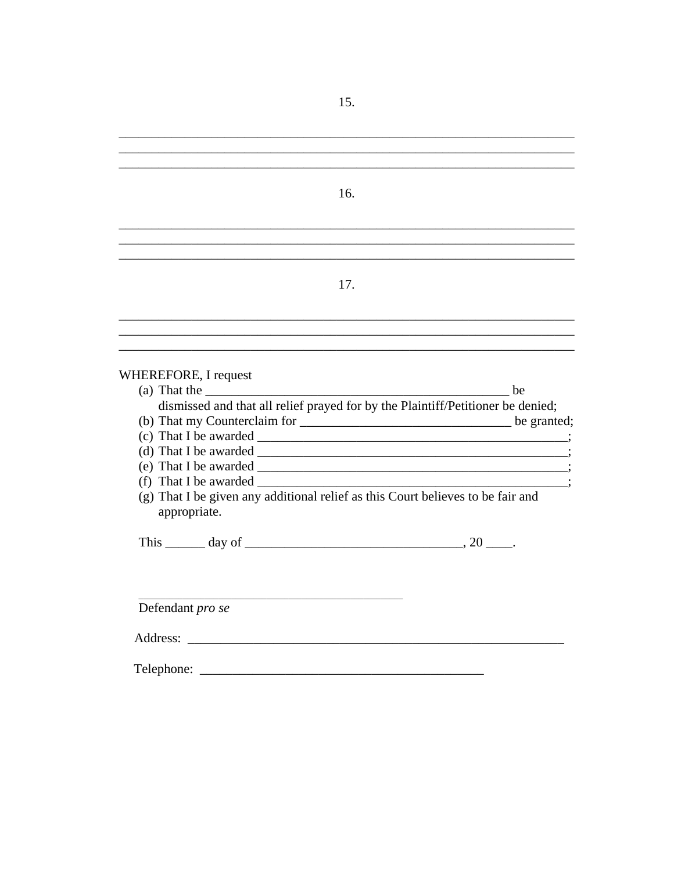|                  |                                                                                             | 16.                                                                             |                    |  |
|------------------|---------------------------------------------------------------------------------------------|---------------------------------------------------------------------------------|--------------------|--|
|                  |                                                                                             |                                                                                 |                    |  |
|                  |                                                                                             |                                                                                 |                    |  |
|                  |                                                                                             |                                                                                 |                    |  |
|                  |                                                                                             |                                                                                 |                    |  |
|                  |                                                                                             |                                                                                 |                    |  |
|                  |                                                                                             | 17.                                                                             |                    |  |
|                  |                                                                                             |                                                                                 |                    |  |
|                  |                                                                                             |                                                                                 |                    |  |
|                  |                                                                                             |                                                                                 |                    |  |
|                  |                                                                                             |                                                                                 |                    |  |
|                  | WHEREFORE, I request                                                                        |                                                                                 |                    |  |
|                  | (a) That the $\frac{1}{\sqrt{1-\frac{1}{2}}}\left\{ \frac{1}{\sqrt{1-\frac{1}{2}}}\right\}$ |                                                                                 | $\qquad \qquad$ be |  |
|                  |                                                                                             | dismissed and that all relief prayed for by the Plaintiff/Petitioner be denied; |                    |  |
|                  |                                                                                             |                                                                                 |                    |  |
|                  |                                                                                             |                                                                                 |                    |  |
|                  |                                                                                             |                                                                                 |                    |  |
|                  |                                                                                             |                                                                                 |                    |  |
|                  | (f) That I be awarded $\qquad$                                                              |                                                                                 |                    |  |
|                  |                                                                                             | (g) That I be given any additional relief as this Court believes to be fair and |                    |  |
|                  | appropriate.                                                                                |                                                                                 |                    |  |
|                  |                                                                                             | This $\_\_\_\_$ day of $\_\_\_\_\_\_\_$ . 20 $\_\_\_\_\_$ .                     |                    |  |
|                  |                                                                                             |                                                                                 |                    |  |
|                  |                                                                                             |                                                                                 |                    |  |
|                  |                                                                                             |                                                                                 |                    |  |
| Defendant pro se |                                                                                             |                                                                                 |                    |  |
|                  |                                                                                             |                                                                                 |                    |  |
|                  |                                                                                             |                                                                                 |                    |  |
|                  |                                                                                             |                                                                                 |                    |  |
|                  |                                                                                             |                                                                                 |                    |  |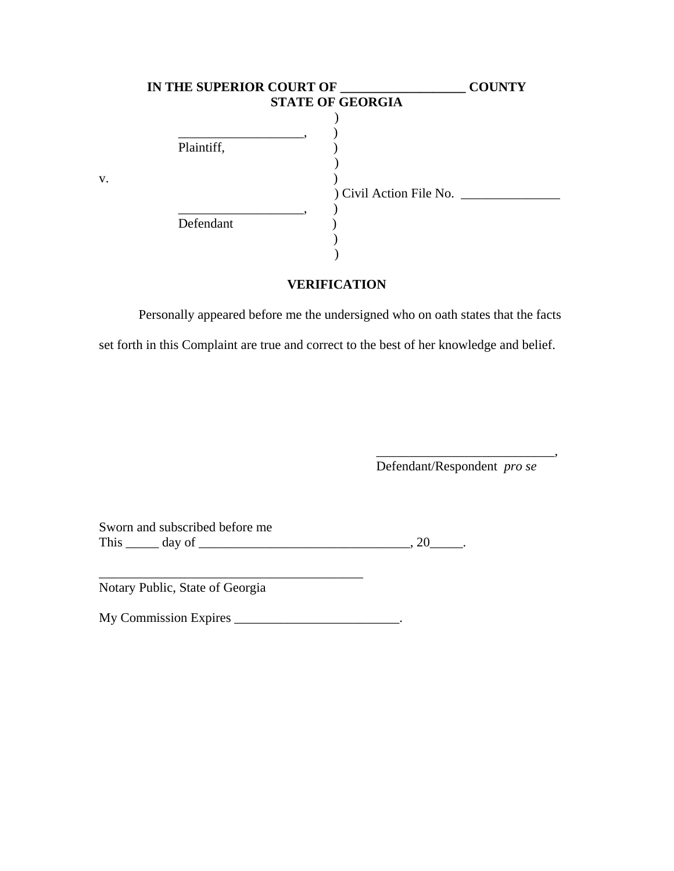|    | IN THE SUPERIOR COURT OF | <b>STATE OF GEORGIA</b> | <b>COUNTY</b> |
|----|--------------------------|-------------------------|---------------|
|    | Plaintiff,               |                         |               |
| v. | Defendant                | ) Civil Action File No. |               |
|    |                          |                         |               |

# **VERIFICATION**

 Personally appeared before me the undersigned who on oath states that the facts set forth in this Complaint are true and correct to the best of her knowledge and belief.

Defendant/Respondent *pro se*

\_\_\_\_\_\_\_\_\_\_\_\_\_\_\_\_\_\_\_\_\_\_\_\_\_\_\_,

Sworn and subscribed before me Sworn and subscribed before me<br>This \_\_\_\_\_ day of \_\_\_\_\_\_\_\_\_\_\_\_\_\_\_\_\_\_\_\_\_\_\_\_\_\_\_\_\_\_\_\_, 20\_\_\_\_\_\_.

 $\overline{\phantom{a}}$  , where  $\overline{\phantom{a}}$ 

Notary Public, State of Georgia

My Commission Expires \_\_\_\_\_\_\_\_\_\_\_\_\_\_\_\_\_\_\_\_\_\_\_\_\_\_\_\_\_\_.